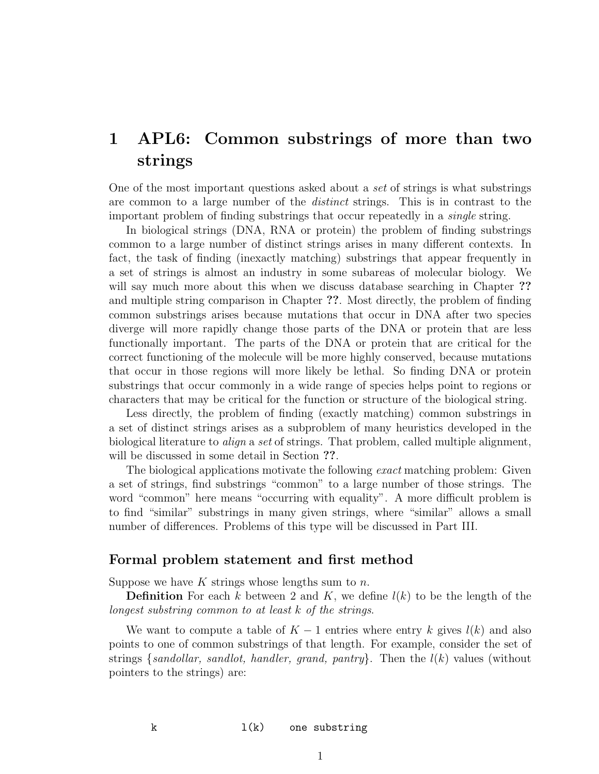# 1 APL6: Common substrings of more than two strings

One of the most important questions asked about a set of strings is what substrings are common to a large number of the distinct strings. This is in contrast to the important problem of finding substrings that occur repeatedly in a single string.

In biological strings (DNA, RNA or protein) the problem of finding substrings common to a large number of distinct strings arises in many different contexts. In fact, the task of finding (inexactly matching) substrings that appear frequently in a set of strings is almost an industry in some subareas of molecular biology. We will say much more about this when we discuss database searching in Chapter ?? and multiple string comparison in Chapter ??. Most directly, the problem of finding common substrings arises because mutations that occur in DNA after two species diverge will more rapidly change those parts of the DNA or protein that are less functionally important. The parts of the DNA or protein that are critical for the correct functioning of the molecule will be more highly conserved, because mutations that occur in those regions will more likely be lethal. So finding DNA or protein substrings that occur commonly in a wide range of species helps point to regions or characters that may be critical for the function or structure of the biological string.

Less directly, the problem of finding (exactly matching) common substrings in a set of distinct strings arises as a subproblem of many heuristics developed in the biological literature to align a set of strings. That problem, called multiple alignment, will be discussed in some detail in Section ??.

The biological applications motivate the following exact matching problem: Given a set of strings, find substrings "common" to a large number of those strings. The word "common" here means "occurring with equality". A more difficult problem is to find "similar" substrings in many given strings, where "similar" allows a small number of differences. Problems of this type will be discussed in Part III.

### Formal problem statement and first method

Suppose we have K strings whose lengths sum to  $n$ .

**Definition** For each k between 2 and K, we define  $l(k)$  to be the length of the longest substring common to at least k of the strings.

We want to compute a table of  $K - 1$  entries where entry k gives  $l(k)$  and also points to one of common substrings of that length. For example, consider the set of strings {sandollar, sandlot, handler, grand, pantry}. Then the  $l(k)$  values (without pointers to the strings) are: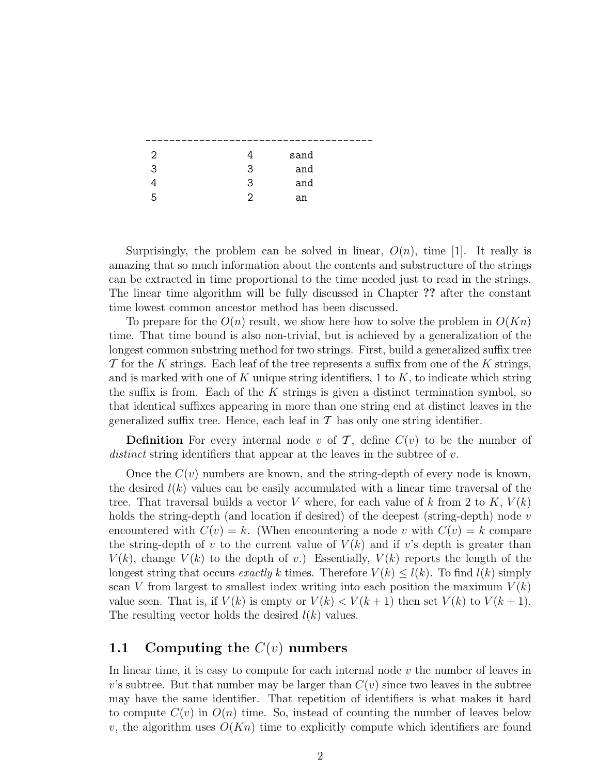| 2 |   | sand |  |
|---|---|------|--|
| 3 | 3 | and  |  |
|   | 3 | and  |  |
| h | ≘ | an   |  |

Surprisingly, the problem can be solved in linear,  $O(n)$ , time [1]. It really is amazing that so much information about the contents and substructure of the strings can be extracted in time proportional to the time needed just to read in the strings. The linear time algorithm will be fully discussed in Chapter ?? after the constant time lowest common ancestor method has been discussed.

To prepare for the  $O(n)$  result, we show here how to solve the problem in  $O(Kn)$ time. That time bound is also non-trivial, but is achieved by a generalization of the longest common substring method for two strings. First, build a generalized suffix tree  $\mathcal T$  for the K strings. Each leaf of the tree represents a suffix from one of the K strings, and is marked with one of K unique string identifiers, 1 to K, to indicate which string the suffix is from. Each of the  $K$  strings is given a distinct termination symbol, so that identical suffixes appearing in more than one string end at distinct leaves in the generalized suffix tree. Hence, each leaf in  $\mathcal T$  has only one string identifier.

**Definition** For every internal node v of T, define  $C(v)$  to be the number of distinct string identifiers that appear at the leaves in the subtree of v.

Once the  $C(v)$  numbers are known, and the string-depth of every node is known, the desired  $l(k)$  values can be easily accumulated with a linear time traversal of the tree. That traversal builds a vector V where, for each value of k from 2 to K,  $V(k)$ holds the string-depth (and location if desired) of the deepest (string-depth) node  $v$ encountered with  $C(v) = k$ . (When encountering a node v with  $C(v) = k$  compare the string-depth of v to the current value of  $V(k)$  and if v's depth is greater than  $V(k)$ , change  $V(k)$  to the depth of v.) Essentially,  $V(k)$  reports the length of the longest string that occurs exactly k times. Therefore  $V(k) \leq l(k)$ . To find  $l(k)$  simply scan V from largest to smallest index writing into each position the maximum  $V(k)$ value seen. That is, if  $V(k)$  is empty or  $V(k) < V(k+1)$  then set  $V(k)$  to  $V(k+1)$ . The resulting vector holds the desired  $l(k)$  values.

### 1.1 Computing the  $C(v)$  numbers

In linear time, it is easy to compute for each internal node  $v$  the number of leaves in v's subtree. But that number may be larger than  $C(v)$  since two leaves in the subtree may have the same identifier. That repetition of identifiers is what makes it hard to compute  $C(v)$  in  $O(n)$  time. So, instead of counting the number of leaves below v, the algorithm uses  $O(Kn)$  time to explicitly compute which identifiers are found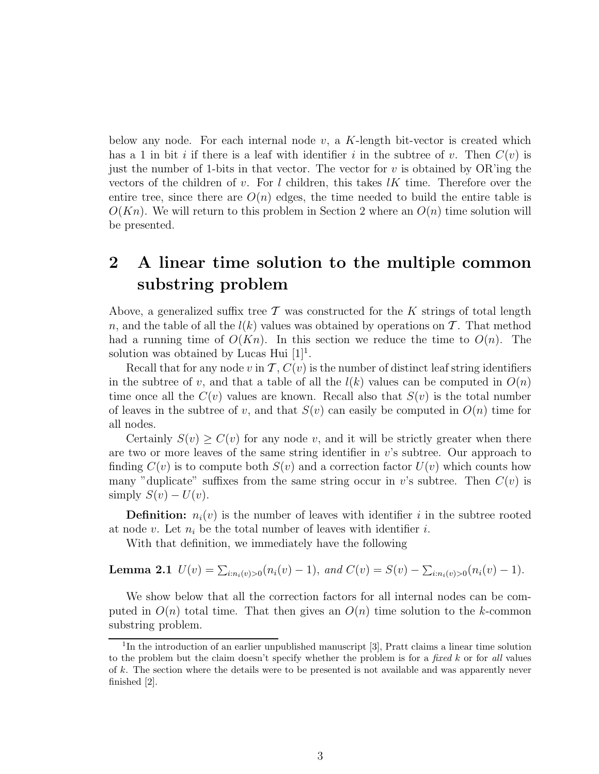below any node. For each internal node  $v$ , a K-length bit-vector is created which has a 1 in bit i if there is a leaf with identifier i in the subtree of v. Then  $C(v)$  is just the number of 1-bits in that vector. The vector for  $v$  is obtained by OR'ing the vectors of the children of v. For l children, this takes  $lK$  time. Therefore over the entire tree, since there are  $O(n)$  edges, the time needed to build the entire table is  $O(Kn)$ . We will return to this problem in Section 2 where an  $O(n)$  time solution will be presented.

## 2 A linear time solution to the multiple common substring problem

Above, a generalized suffix tree  $\mathcal T$  was constructed for the K strings of total length n, and the table of all the  $l(k)$  values was obtained by operations on T. That method had a running time of  $O(Kn)$ . In this section we reduce the time to  $O(n)$ . The solution was obtained by Lucas Hui  $[1]$ <sup>1</sup>.

Recall that for any node v in  $\mathcal{T}, C(v)$  is the number of distinct leaf string identifiers in the subtree of v, and that a table of all the  $l(k)$  values can be computed in  $O(n)$ time once all the  $C(v)$  values are known. Recall also that  $S(v)$  is the total number of leaves in the subtree of v, and that  $S(v)$  can easily be computed in  $O(n)$  time for all nodes.

Certainly  $S(v) \geq C(v)$  for any node v, and it will be strictly greater when there are two or more leaves of the same string identifier in  $v$ 's subtree. Our approach to finding  $C(v)$  is to compute both  $S(v)$  and a correction factor  $U(v)$  which counts how many "duplicate" suffixes from the same string occur in v's subtree. Then  $C(v)$  is simply  $S(v) - U(v)$ .

**Definition:**  $n_i(v)$  is the number of leaves with identifier i in the subtree rooted at node v. Let  $n_i$  be the total number of leaves with identifier i.

With that definition, we immediately have the following

**Lemma 2.1** 
$$
U(v) = \sum_{i:n_i(v)>0} (n_i(v) - 1)
$$
, and  $C(v) = S(v) - \sum_{i:n_i(v)>0} (n_i(v) - 1)$ .

We show below that all the correction factors for all internal nodes can be computed in  $O(n)$  total time. That then gives an  $O(n)$  time solution to the k-common substring problem.

<sup>&</sup>lt;sup>1</sup>In the introduction of an earlier unpublished manuscript [3], Pratt claims a linear time solution to the problem but the claim doesn't specify whether the problem is for a fixed  $k$  or for all values of k. The section where the details were to be presented is not available and was apparently never finished [2].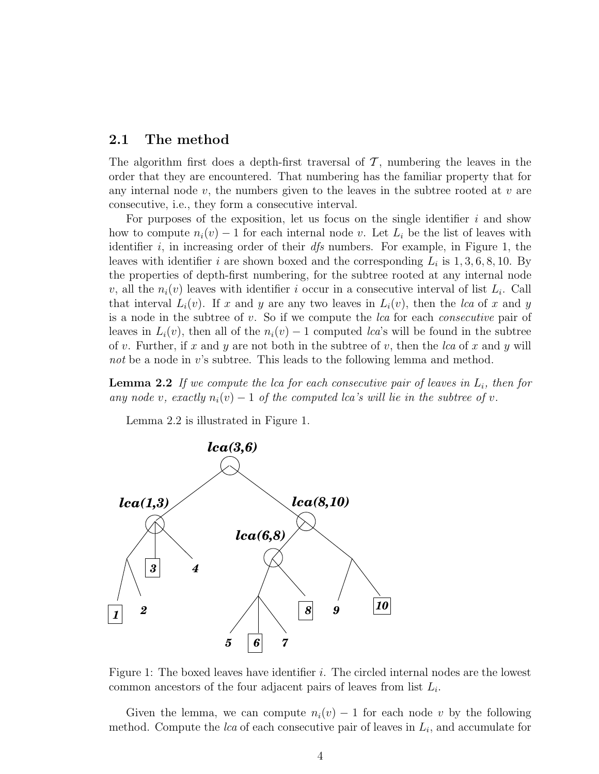#### 2.1 The method

The algorithm first does a depth-first traversal of  $\mathcal{T}$ , numbering the leaves in the order that they are encountered. That numbering has the familiar property that for any internal node  $v$ , the numbers given to the leaves in the subtree rooted at  $v$  are consecutive, i.e., they form a consecutive interval.

For purposes of the exposition, let us focus on the single identifier  $i$  and show how to compute  $n_i(v) - 1$  for each internal node v. Let  $L_i$  be the list of leaves with identifier  $i$ , in increasing order of their  $dfs$  numbers. For example, in Figure 1, the leaves with identifier i are shown boxed and the corresponding  $L_i$  is  $1, 3, 6, 8, 10$ . By the properties of depth-first numbering, for the subtree rooted at any internal node v, all the  $n_i(v)$  leaves with identifier i occur in a consecutive interval of list  $L_i$ . Call that interval  $L_i(v)$ . If x and y are any two leaves in  $L_i(v)$ , then the lca of x and y is a node in the subtree of v. So if we compute the lca for each consecutive pair of leaves in  $L_i(v)$ , then all of the  $n_i(v) - 1$  computed *lca*'s will be found in the subtree of v. Further, if x and y are not both in the subtree of v, then the  $lca$  of x and y will not be a node in  $v$ 's subtree. This leads to the following lemma and method.

**Lemma 2.2** If we compute the lca for each consecutive pair of leaves in  $L_i$ , then for any node v, exactly  $n_i(v) - 1$  of the computed lca's will lie in the subtree of v.

Lemma 2.2 is illustrated in Figure 1.



Figure 1: The boxed leaves have identifier  $i$ . The circled internal nodes are the lowest common ancestors of the four adjacent pairs of leaves from list  $L_i$ .

Given the lemma, we can compute  $n_i(v) - 1$  for each node v by the following method. Compute the *lca* of each consecutive pair of leaves in  $L_i$ , and accumulate for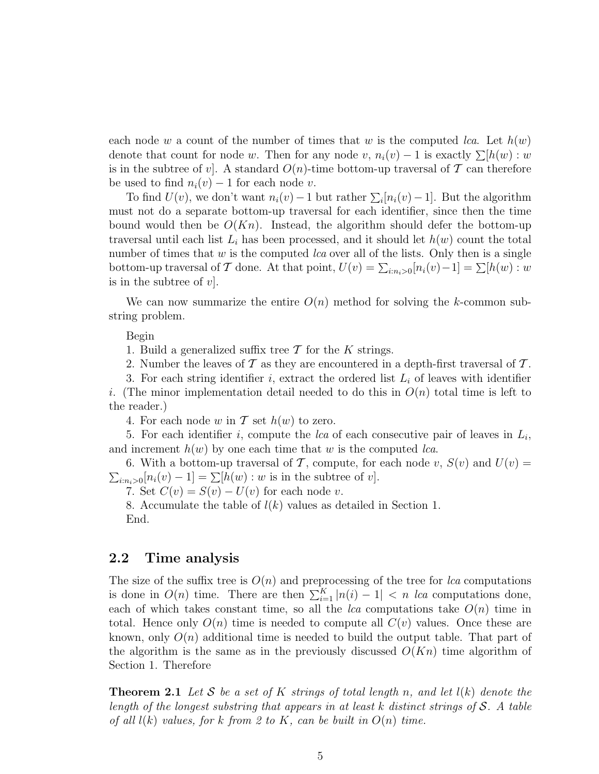each node w a count of the number of times that w is the computed lca. Let  $h(w)$ denote that count for node w. Then for any node v,  $n_i(v) - 1$  is exactly  $\sum [h(w) : w]$ is in the subtree of v. A standard  $O(n)$ -time bottom-up traversal of T can therefore be used to find  $n_i(v) - 1$  for each node v.

To find  $U(v)$ , we don't want  $n_i(v) - 1$  but rather  $\sum_i [n_i(v) - 1]$ . But the algorithm must not do a separate bottom-up traversal for each identifier, since then the time bound would then be  $O(Kn)$ . Instead, the algorithm should defer the bottom-up traversal until each list  $L_i$  has been processed, and it should let  $h(w)$  count the total number of times that  $w$  is the computed *lca* over all of the lists. Only then is a single bottom-up traversal of T done. At that point,  $U(v) = \sum_{i:n_i>0} [n_i(v)-1] = \sum [h(w):w$ is in the subtree of  $v$ .

We can now summarize the entire  $O(n)$  method for solving the k-common substring problem.

Begin

1. Build a generalized suffix tree  $\mathcal T$  for the K strings.

2. Number the leaves of  $\mathcal T$  as they are encountered in a depth-first traversal of  $\mathcal T$ .

3. For each string identifier i, extract the ordered list  $L_i$  of leaves with identifier i. (The minor implementation detail needed to do this in  $O(n)$  total time is left to the reader.)

4. For each node w in  $\mathcal T$  set  $h(w)$  to zero.

5. For each identifier i, compute the  $lca$  of each consecutive pair of leaves in  $L_i$ , and increment  $h(w)$  by one each time that w is the computed *lca*.

6. With a bottom-up traversal of T, compute, for each node v,  $S(v)$  and  $U(v) =$  $\sum_{i:n_i>0} [n_i(v)-1] = \sum [h(w):w$  is in the subtree of v].

7. Set  $C(v) = S(v) - U(v)$  for each node v.

8. Accumulate the table of  $l(k)$  values as detailed in Section 1. End.

### 2.2 Time analysis

The size of the suffix tree is  $O(n)$  and preprocessing of the tree for lca computations is done in  $O(n)$  time. There are then  $\sum_{i=1}^{K} |n(i) - 1| < n$  lca computations done, each of which takes constant time, so all the *lca* computations take  $O(n)$  time in total. Hence only  $O(n)$  time is needed to compute all  $C(v)$  values. Once these are known, only  $O(n)$  additional time is needed to build the output table. That part of the algorithm is the same as in the previously discussed  $O(Kn)$  time algorithm of Section 1. Therefore

**Theorem 2.1** Let S be a set of K strings of total length n, and let  $l(k)$  denote the length of the longest substring that appears in at least k distinct strings of S. A table of all  $l(k)$  values, for k from 2 to K, can be built in  $O(n)$  time.